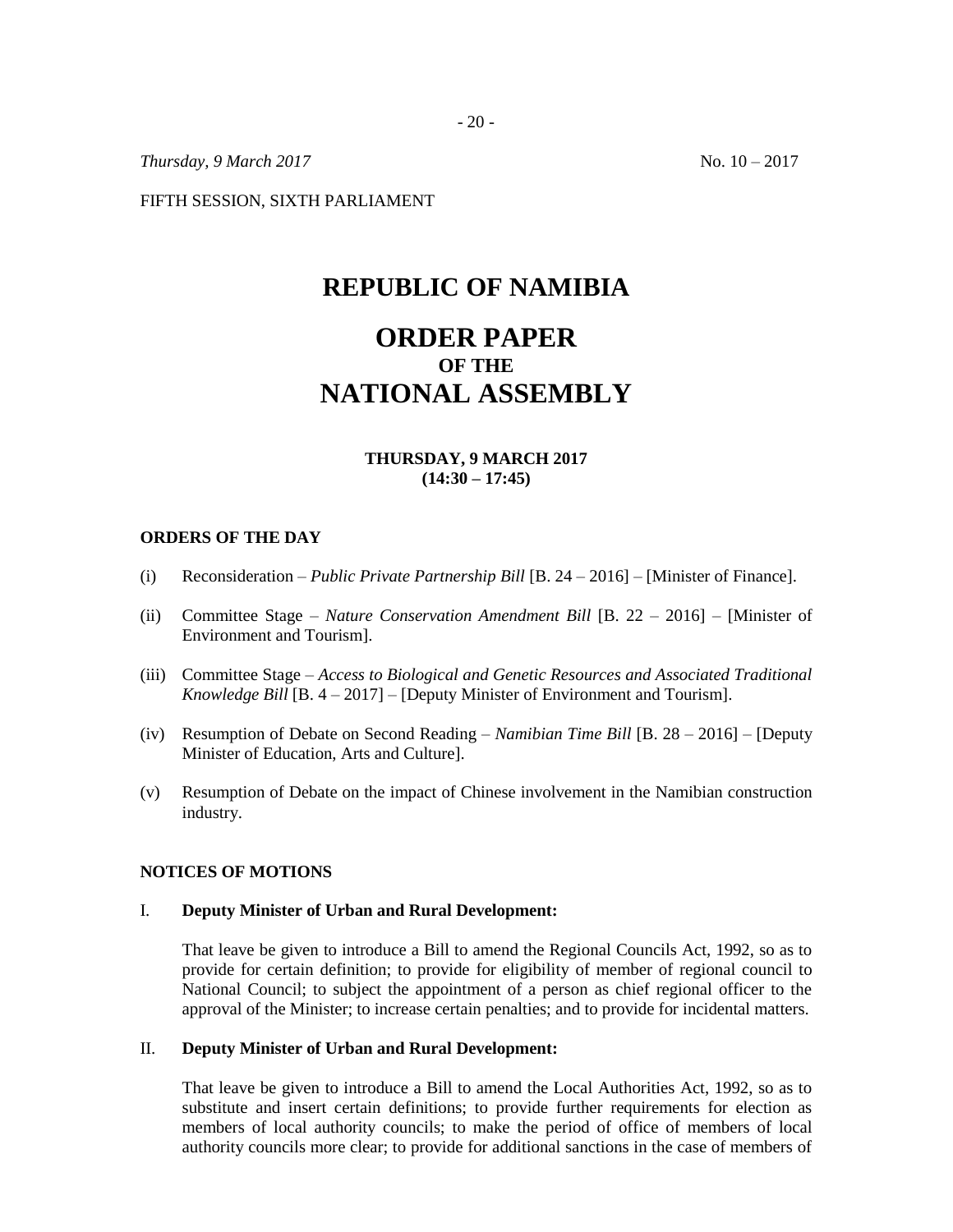*Thursday, 9 March 2017* No. 10 – 2017

FIFTH SESSION, SIXTH PARLIAMENT

# **REPUBLIC OF NAMIBIA**

# **ORDER PAPER OF THE NATIONAL ASSEMBLY**

# **THURSDAY, 9 MARCH 2017 (14:30 – 17:45)**

#### **ORDERS OF THE DAY**

- (i) Reconsideration *– Public Private Partnership Bill* [B. 24 2016] [Minister of Finance].
- (ii) Committee Stage *Nature Conservation Amendment Bill* [B. 22 2016] [Minister of Environment and Tourism].
- (iii) Committee Stage *Access to Biological and Genetic Resources and Associated Traditional Knowledge Bill* [B. 4 – 2017] – [Deputy Minister of Environment and Tourism].
- (iv) Resumption of Debate on Second Reading *Namibian Time Bill* [B. 28 2016] [Deputy Minister of Education, Arts and Culture].
- (v) Resumption of Debate on the impact of Chinese involvement in the Namibian construction industry.

#### **NOTICES OF MOTIONS**

#### I. **Deputy Minister of Urban and Rural Development:**

That leave be given to introduce a Bill to amend the Regional Councils Act, 1992, so as to provide for certain definition; to provide for eligibility of member of regional council to National Council; to subject the appointment of a person as chief regional officer to the approval of the Minister; to increase certain penalties; and to provide for incidental matters.

#### II. **Deputy Minister of Urban and Rural Development:**

That leave be given to introduce a Bill to amend the Local Authorities Act, 1992, so as to substitute and insert certain definitions; to provide further requirements for election as members of local authority councils; to make the period of office of members of local authority councils more clear; to provide for additional sanctions in the case of members of